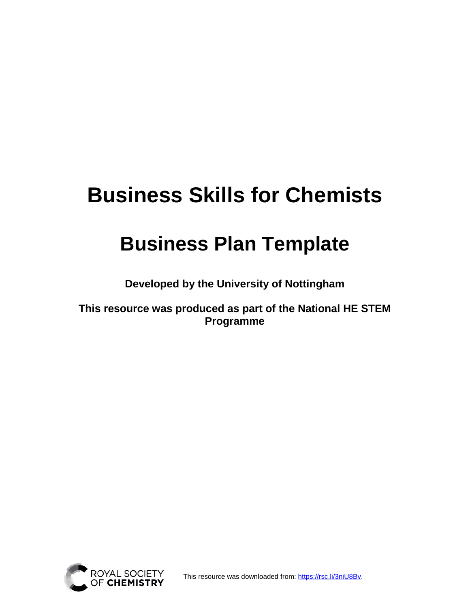# **Business Skills for Chemists**

## **Business Plan Template**

**Developed by the University of Nottingham** 

**This resource was produced as part of the National HE STEM Programme** 



This resource was downloaded from: [https://rsc.li/3niU8Bv.](https://rsc.li/3niU8Bv)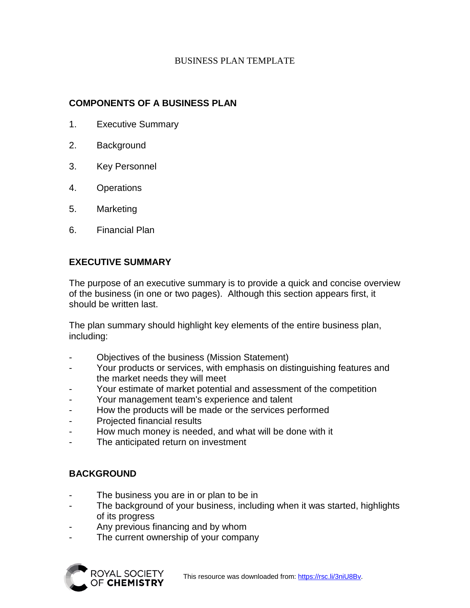## BUSINESS PLAN TEMPLATE

## **COMPONENTS OF A BUSINESS PLAN**

- 1. Executive Summary
- 2. Background
- 3. Key Personnel
- 4. Operations
- 5. Marketing
- 6. Financial Plan

## **EXECUTIVE SUMMARY**

The purpose of an executive summary is to provide a quick and concise overview of the business (in one or two pages). Although this section appears first, it should be written last.

The plan summary should highlight key elements of the entire business plan, including:

- Objectives of the business (Mission Statement)
- Your products or services, with emphasis on distinguishing features and the market needs they will meet
- Your estimate of market potential and assessment of the competition
- Your management team's experience and talent
- How the products will be made or the services performed
- Projected financial results
- How much money is needed, and what will be done with it
- The anticipated return on investment

## **BACKGROUND**

- The business you are in or plan to be in
- The background of your business, including when it was started, highlights of its progress
- Any previous financing and by whom
- The current ownership of your company

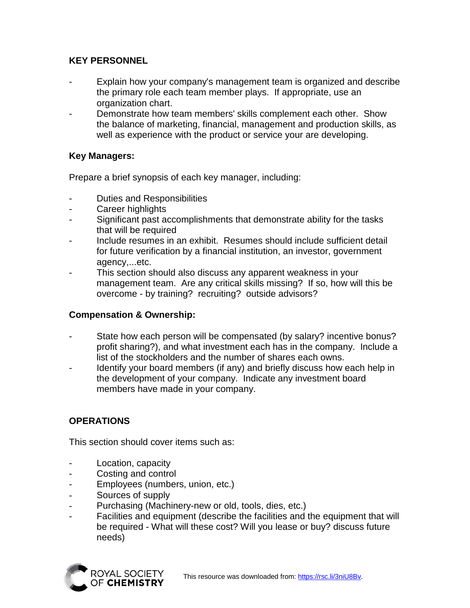## **KEY PERSONNEL**

- Explain how your company's management team is organized and describe the primary role each team member plays. If appropriate, use an organization chart.
- Demonstrate how team members' skills complement each other. Show the balance of marketing, financial, management and production skills, as well as experience with the product or service your are developing.

## **Key Managers:**

Prepare a brief synopsis of each key manager, including:

- Duties and Responsibilities
- Career highlights
- Significant past accomplishments that demonstrate ability for the tasks that will be required
- Include resumes in an exhibit. Resumes should include sufficient detail for future verification by a financial institution, an investor, government agency,...etc.
- This section should also discuss any apparent weakness in your management team. Are any critical skills missing? If so, how will this be overcome - by training? recruiting? outside advisors?

## **Compensation & Ownership:**

- State how each person will be compensated (by salary? incentive bonus? profit sharing?), and what investment each has in the company. Include a list of the stockholders and the number of shares each owns.
- Identify your board members (if any) and briefly discuss how each help in the development of your company. Indicate any investment board members have made in your company.

## **OPERATIONS**

This section should cover items such as:

- Location, capacity
- Costing and control
- Employees (numbers, union, etc.)
- Sources of supply
- Purchasing (Machinery-new or old, tools, dies, etc.)
- Facilities and equipment (describe the facilities and the equipment that will be required - What will these cost? Will you lease or buy? discuss future needs)

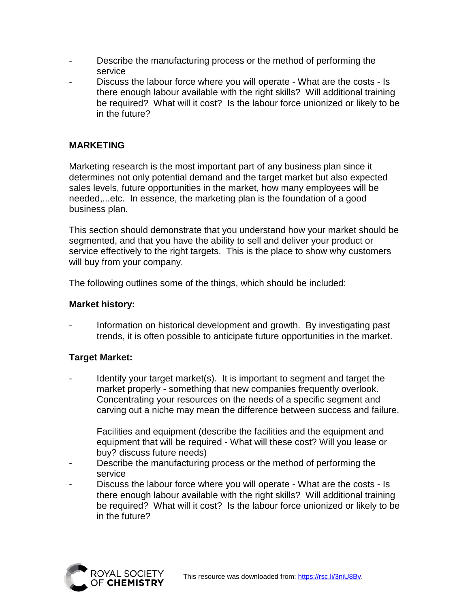- Describe the manufacturing process or the method of performing the service
- Discuss the labour force where you will operate What are the costs Is there enough labour available with the right skills? Will additional training be required? What will it cost? Is the labour force unionized or likely to be in the future?

## **MARKETING**

Marketing research is the most important part of any business plan since it determines not only potential demand and the target market but also expected sales levels, future opportunities in the market, how many employees will be needed,...etc. In essence, the marketing plan is the foundation of a good business plan.

This section should demonstrate that you understand how your market should be segmented, and that you have the ability to sell and deliver your product or service effectively to the right targets. This is the place to show why customers will buy from your company.

The following outlines some of the things, which should be included:

#### **Market history:**

Information on historical development and growth. By investigating past trends, it is often possible to anticipate future opportunities in the market.

## **Target Market:**

Identify your target market(s). It is important to segment and target the market properly - something that new companies frequently overlook. Concentrating your resources on the needs of a specific segment and carving out a niche may mean the difference between success and failure.

Facilities and equipment (describe the facilities and the equipment and equipment that will be required - What will these cost? Will you lease or buy? discuss future needs)

- Describe the manufacturing process or the method of performing the service
- Discuss the labour force where you will operate What are the costs Is there enough labour available with the right skills? Will additional training be required? What will it cost? Is the labour force unionized or likely to be in the future?

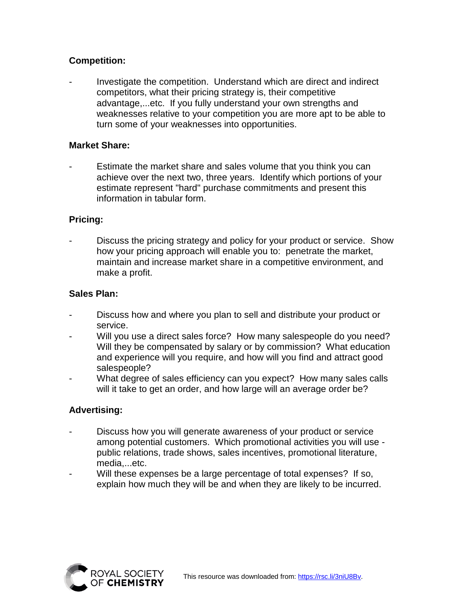## **Competition:**

Investigate the competition. Understand which are direct and indirect competitors, what their pricing strategy is, their competitive advantage,...etc. If you fully understand your own strengths and weaknesses relative to your competition you are more apt to be able to turn some of your weaknesses into opportunities.

#### **Market Share:**

Estimate the market share and sales volume that you think you can achieve over the next two, three years. Identify which portions of your estimate represent "hard" purchase commitments and present this information in tabular form.

#### **Pricing:**

Discuss the pricing strategy and policy for your product or service. Show how your pricing approach will enable you to: penetrate the market, maintain and increase market share in a competitive environment, and make a profit.

#### **Sales Plan:**

- Discuss how and where you plan to sell and distribute your product or service.
- Will you use a direct sales force? How many salespeople do you need? Will they be compensated by salary or by commission? What education and experience will you require, and how will you find and attract good salespeople?
- What degree of sales efficiency can you expect? How many sales calls will it take to get an order, and how large will an average order be?

## **Advertising:**

- Discuss how you will generate awareness of your product or service among potential customers. Which promotional activities you will use public relations, trade shows, sales incentives, promotional literature, media,...etc.
- Will these expenses be a large percentage of total expenses? If so, explain how much they will be and when they are likely to be incurred.

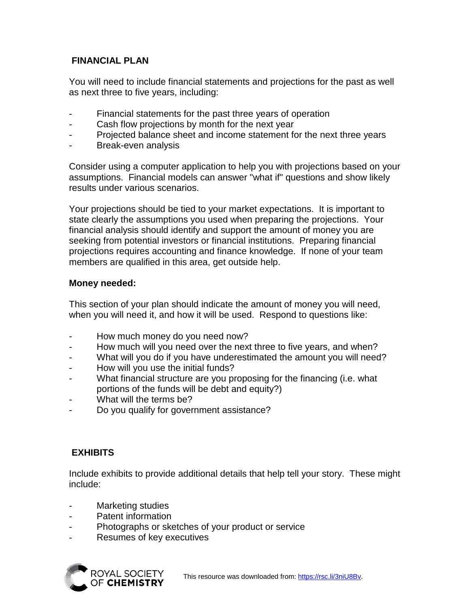## **FINANCIAL PLAN**

You will need to include financial statements and projections for the past as well as next three to five years, including:

- Financial statements for the past three years of operation
- Cash flow projections by month for the next year
- Projected balance sheet and income statement for the next three years
- Break-even analysis

Consider using a computer application to help you with projections based on your assumptions. Financial models can answer "what if" questions and show likely results under various scenarios.

Your projections should be tied to your market expectations. It is important to state clearly the assumptions you used when preparing the projections. Your financial analysis should identify and support the amount of money you are seeking from potential investors or financial institutions. Preparing financial projections requires accounting and finance knowledge. If none of your team members are qualified in this area, get outside help.

## **Money needed:**

This section of your plan should indicate the amount of money you will need, when you will need it, and how it will be used. Respond to questions like:

- How much money do you need now?
- How much will you need over the next three to five years, and when?
- What will you do if you have underestimated the amount you will need?
- How will you use the initial funds?
- What financial structure are you proposing for the financing (i.e. what portions of the funds will be debt and equity?)
- What will the terms be?
- Do you qualify for government assistance?

## **EXHIBITS**

Include exhibits to provide additional details that help tell your story. These might include:

- Marketing studies
- Patent information
- Photographs or sketches of your product or service
- Resumes of key executives